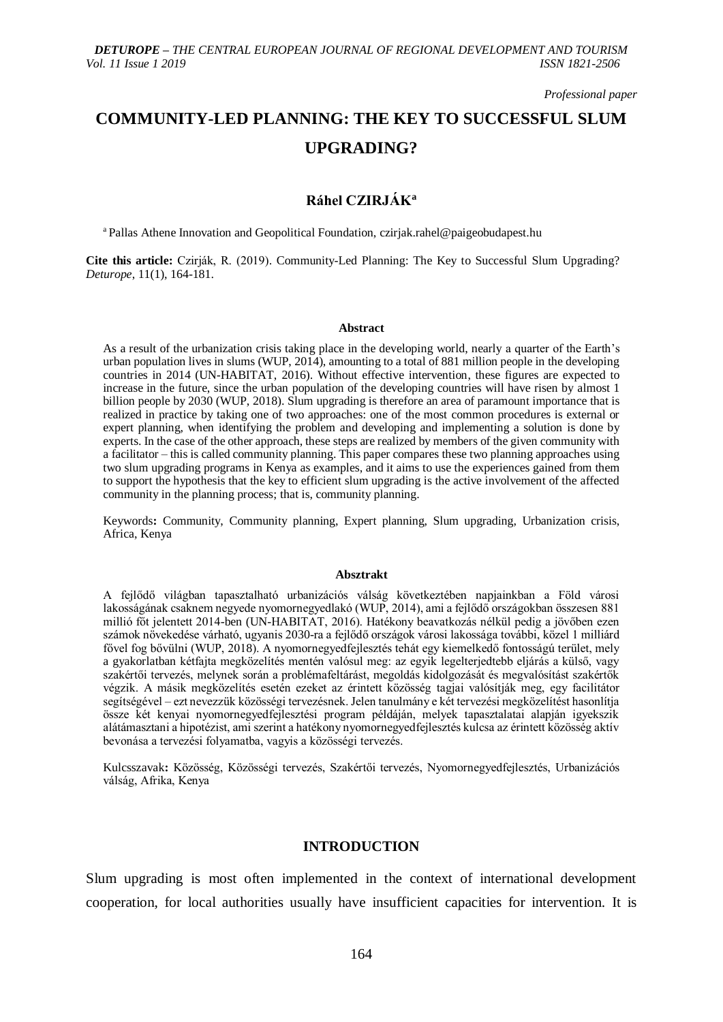*Professional paper*

# **COMMUNITY-LED PLANNING: THE KEY TO SUCCESSFUL SLUM UPGRADING?**

## **Ráhel CZIRJÁK<sup>a</sup>**

<sup>a</sup> Pallas Athene Innovation and Geopolitical Foundation, czirjak.rahel@paigeobudapest.hu

**Cite this article:** Czirják, R. (2019). Community-Led Planning: The Key to Successful Slum Upgrading? *Deturope*, 11(1), 164-181.

#### **Abstract**

As a result of the urbanization crisis taking place in the developing world, nearly a quarter of the Earth's urban population lives in slums (WUP, 2014), amounting to a total of 881 million people in the developing countries in 2014 (UN-HABITAT, 2016). Without effective intervention, these figures are expected to increase in the future, since the urban population of the developing countries will have risen by almost 1 billion people by 2030 (WUP, 2018). Slum upgrading is therefore an area of paramount importance that is realized in practice by taking one of two approaches: one of the most common procedures is external or expert planning, when identifying the problem and developing and implementing a solution is done by experts. In the case of the other approach, these steps are realized by members of the given community with a facilitator – this is called community planning. This paper compares these two planning approaches using two slum upgrading programs in Kenya as examples, and it aims to use the experiences gained from them to support the hypothesis that the key to efficient slum upgrading is the active involvement of the affected community in the planning process; that is, community planning.

Keywords**:** Community, Community planning, Expert planning, Slum upgrading, Urbanization crisis, Africa, Kenya

#### **Absztrakt**

A fejlődő világban tapasztalható urbanizációs válság következtében napjainkban a Föld városi lakosságának csaknem negyede nyomornegyedlakó (WUP, 2014), ami a fejlődő országokban összesen 881 millió főt jelentett 2014-ben (UN-HABITAT, 2016). Hatékony beavatkozás nélkül pedig a jövőben ezen számok növekedése várható, ugyanis 2030-ra a fejlődő országok városi lakossága további, közel 1 milliárd fővel fog bővülni (WUP, 2018). A nyomornegyedfejlesztés tehát egy kiemelkedő fontosságú terület, mely a gyakorlatban kétfajta megközelítés mentén valósul meg: az egyik legelterjedtebb eljárás a külső, vagy szakértői tervezés, melynek során a problémafeltárást, megoldás kidolgozását és megvalósítást szakértők végzik. A másik megközelítés esetén ezeket az érintett közösség tagjai valósítják meg, egy facilitátor segítségével – ezt nevezzük közösségi tervezésnek. Jelen tanulmány e két tervezési megközelítést hasonlítja össze két kenyai nyomornegyedfejlesztési program példáján, melyek tapasztalatai alapján igyekszik alátámasztani a hipotézist, ami szerint a hatékony nyomornegyedfejlesztés kulcsa az érintett közösség aktív bevonása a tervezési folyamatba, vagyis a közösségi tervezés.

Kulcsszavak**:** Közösség, Közösségi tervezés, Szakértői tervezés, Nyomornegyedfejlesztés, Urbanizációs válság, Afrika, Kenya

## **INTRODUCTION**

Slum upgrading is most often implemented in the context of international development cooperation, for local authorities usually have insufficient capacities for intervention. It is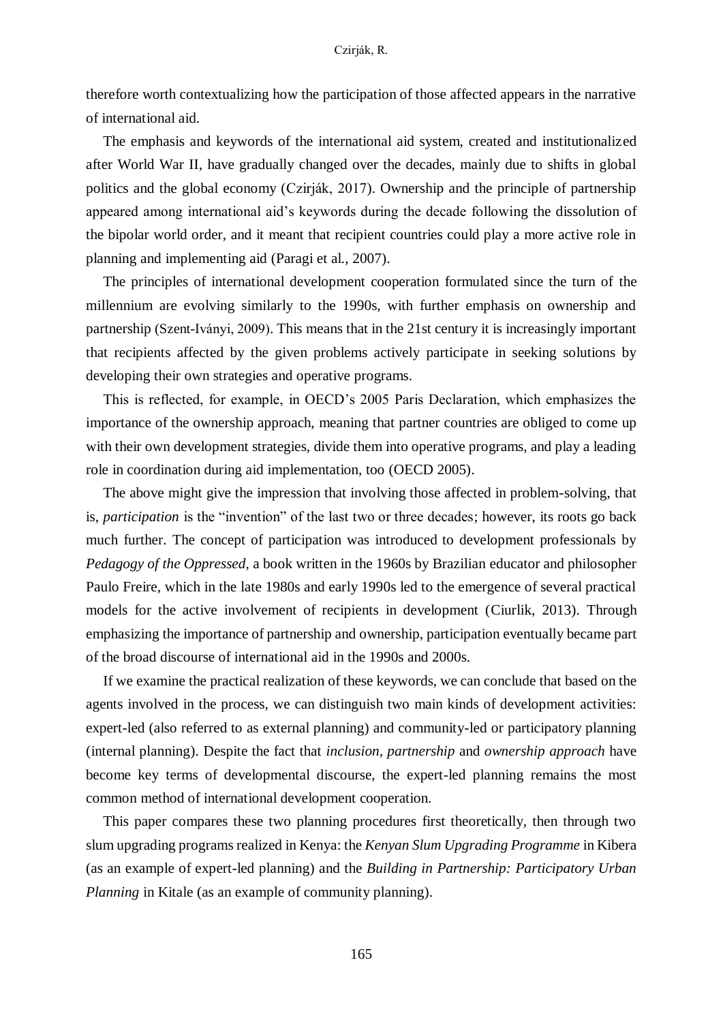therefore worth contextualizing how the participation of those affected appears in the narrative of international aid.

The emphasis and keywords of the international aid system, created and institutionalized after World War II, have gradually changed over the decades, mainly due to shifts in global politics and the global economy (Czirják, 2017). Ownership and the principle of partnership appeared among international aid's keywords during the decade following the dissolution of the bipolar world order, and it meant that recipient countries could play a more active role in planning and implementing aid (Paragi et al., 2007).

The principles of international development cooperation formulated since the turn of the millennium are evolving similarly to the 1990s, with further emphasis on ownership and partnership (Szent-Iványi, 2009). This means that in the 21st century it is increasingly important that recipients affected by the given problems actively participate in seeking solutions by developing their own strategies and operative programs.

This is reflected, for example, in OECD's 2005 Paris Declaration, which emphasizes the importance of the ownership approach, meaning that partner countries are obliged to come up with their own development strategies, divide them into operative programs, and play a leading role in coordination during aid implementation, too (OECD 2005).

The above might give the impression that involving those affected in problem-solving, that is, *participation* is the "invention" of the last two or three decades; however, its roots go back much further. The concept of participation was introduced to development professionals by *Pedagogy of the Oppressed*, a book written in the 1960s by Brazilian educator and philosopher Paulo Freire, which in the late 1980s and early 1990s led to the emergence of several practical models for the active involvement of recipients in development (Ciurlik, 2013). Through emphasizing the importance of partnership and ownership, participation eventually became part of the broad discourse of international aid in the 1990s and 2000s.

If we examine the practical realization of these keywords, we can conclude that based on the agents involved in the process, we can distinguish two main kinds of development activities: expert-led (also referred to as external planning) and community-led or participatory planning (internal planning). Despite the fact that *inclusion, partnership* and *ownership approach* have become key terms of developmental discourse, the expert-led planning remains the most common method of international development cooperation.

This paper compares these two planning procedures first theoretically, then through two slum upgrading programs realized in Kenya: the *Kenyan Slum Upgrading Programme* in Kibera (as an example of expert-led planning) and the *Building in Partnership: Participatory Urban Planning* in Kitale (as an example of community planning).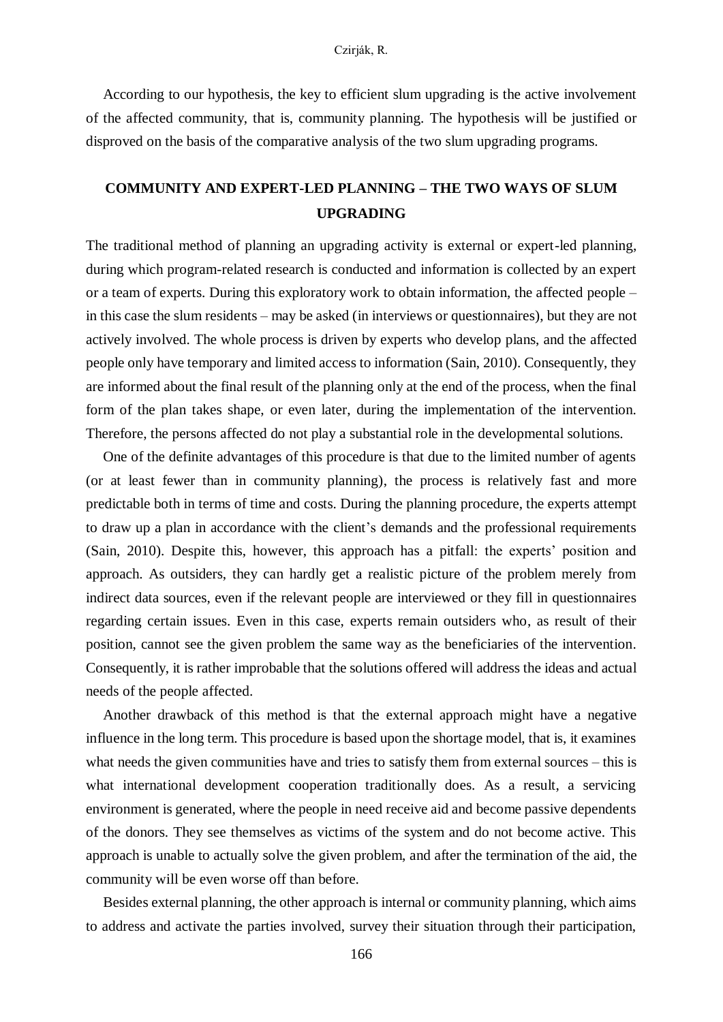According to our hypothesis, the key to efficient slum upgrading is the active involvement of the affected community, that is, community planning. The hypothesis will be justified or disproved on the basis of the comparative analysis of the two slum upgrading programs.

## **COMMUNITY AND EXPERT-LED PLANNING – THE TWO WAYS OF SLUM UPGRADING**

The traditional method of planning an upgrading activity is external or expert-led planning, during which program-related research is conducted and information is collected by an expert or a team of experts. During this exploratory work to obtain information, the affected people – in this case the slum residents – may be asked (in interviews or questionnaires), but they are not actively involved. The whole process is driven by experts who develop plans, and the affected people only have temporary and limited access to information (Sain, 2010). Consequently, they are informed about the final result of the planning only at the end of the process, when the final form of the plan takes shape, or even later, during the implementation of the intervention. Therefore, the persons affected do not play a substantial role in the developmental solutions.

One of the definite advantages of this procedure is that due to the limited number of agents (or at least fewer than in community planning), the process is relatively fast and more predictable both in terms of time and costs. During the planning procedure, the experts attempt to draw up a plan in accordance with the client's demands and the professional requirements (Sain, 2010). Despite this, however, this approach has a pitfall: the experts' position and approach. As outsiders, they can hardly get a realistic picture of the problem merely from indirect data sources, even if the relevant people are interviewed or they fill in questionnaires regarding certain issues. Even in this case, experts remain outsiders who, as result of their position, cannot see the given problem the same way as the beneficiaries of the intervention. Consequently, it is rather improbable that the solutions offered will address the ideas and actual needs of the people affected.

Another drawback of this method is that the external approach might have a negative influence in the long term. This procedure is based upon the shortage model, that is, it examines what needs the given communities have and tries to satisfy them from external sources – this is what international development cooperation traditionally does. As a result, a servicing environment is generated, where the people in need receive aid and become passive dependents of the donors. They see themselves as victims of the system and do not become active. This approach is unable to actually solve the given problem, and after the termination of the aid, the community will be even worse off than before.

Besides external planning, the other approach is internal or community planning, which aims to address and activate the parties involved, survey their situation through their participation,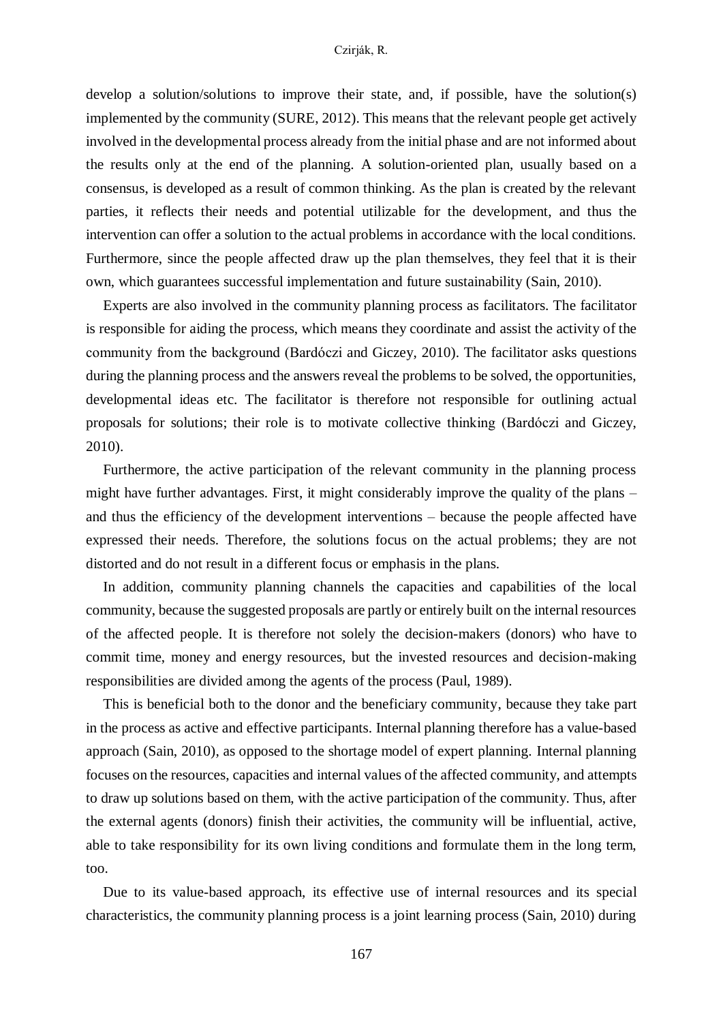develop a solution/solutions to improve their state, and, if possible, have the solution(s) implemented by the community (SURE, 2012). This means that the relevant people get actively involved in the developmental process already from the initial phase and are not informed about the results only at the end of the planning. A solution-oriented plan, usually based on a consensus, is developed as a result of common thinking. As the plan is created by the relevant parties, it reflects their needs and potential utilizable for the development, and thus the intervention can offer a solution to the actual problems in accordance with the local conditions. Furthermore, since the people affected draw up the plan themselves, they feel that it is their own, which guarantees successful implementation and future sustainability (Sain, 2010).

Experts are also involved in the community planning process as facilitators. The facilitator is responsible for aiding the process, which means they coordinate and assist the activity of the community from the background (Bardóczi and Giczey, 2010). The facilitator asks questions during the planning process and the answers reveal the problems to be solved, the opportunities, developmental ideas etc. The facilitator is therefore not responsible for outlining actual proposals for solutions; their role is to motivate collective thinking (Bardóczi and Giczey, 2010).

Furthermore, the active participation of the relevant community in the planning process might have further advantages. First, it might considerably improve the quality of the plans – and thus the efficiency of the development interventions – because the people affected have expressed their needs. Therefore, the solutions focus on the actual problems; they are not distorted and do not result in a different focus or emphasis in the plans.

In addition, community planning channels the capacities and capabilities of the local community, because the suggested proposals are partly or entirely built on the internal resources of the affected people. It is therefore not solely the decision-makers (donors) who have to commit time, money and energy resources, but the invested resources and decision-making responsibilities are divided among the agents of the process (Paul, 1989).

This is beneficial both to the donor and the beneficiary community, because they take part in the process as active and effective participants. Internal planning therefore has a value-based approach (Sain, 2010), as opposed to the shortage model of expert planning. Internal planning focuses on the resources, capacities and internal values of the affected community, and attempts to draw up solutions based on them, with the active participation of the community. Thus, after the external agents (donors) finish their activities, the community will be influential, active, able to take responsibility for its own living conditions and formulate them in the long term, too.

Due to its value-based approach, its effective use of internal resources and its special characteristics, the community planning process is a joint learning process (Sain, 2010) during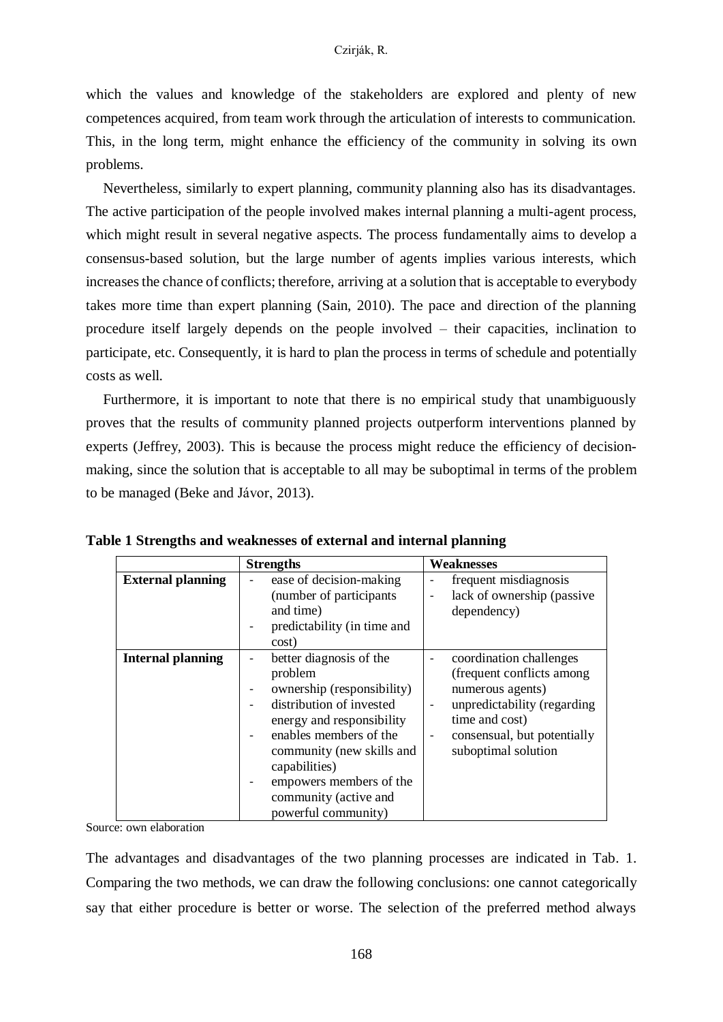which the values and knowledge of the stakeholders are explored and plenty of new competences acquired, from team work through the articulation of interests to communication. This, in the long term, might enhance the efficiency of the community in solving its own problems.

Nevertheless, similarly to expert planning, community planning also has its disadvantages. The active participation of the people involved makes internal planning a multi-agent process, which might result in several negative aspects. The process fundamentally aims to develop a consensus-based solution, but the large number of agents implies various interests, which increases the chance of conflicts; therefore, arriving at a solution that is acceptable to everybody takes more time than expert planning (Sain, 2010). The pace and direction of the planning procedure itself largely depends on the people involved – their capacities, inclination to participate, etc. Consequently, it is hard to plan the process in terms of schedule and potentially costs as well.

Furthermore, it is important to note that there is no empirical study that unambiguously proves that the results of community planned projects outperform interventions planned by experts (Jeffrey, 2003). This is because the process might reduce the efficiency of decisionmaking, since the solution that is acceptable to all may be suboptimal in terms of the problem to be managed (Beke and Jávor, 2013).

|                          | <b>Strengths</b>                                                                                                                                                                                                                                                                                       | <b>Weaknesses</b>                                                                                                                                                                                         |
|--------------------------|--------------------------------------------------------------------------------------------------------------------------------------------------------------------------------------------------------------------------------------------------------------------------------------------------------|-----------------------------------------------------------------------------------------------------------------------------------------------------------------------------------------------------------|
| <b>External planning</b> | ease of decision-making<br>$\overline{\phantom{m}}$<br>(number of participants<br>and time)<br>predictability (in time and<br>cost)                                                                                                                                                                    | frequent misdiagnosis<br>$\qquad \qquad \blacksquare$<br>lack of ownership (passive<br>$\overline{a}$<br>dependency)                                                                                      |
| <b>Internal planning</b> | better diagnosis of the<br>$\qquad \qquad -$<br>problem<br>ownership (responsibility)<br>-<br>distribution of invested<br>energy and responsibility<br>enables members of the<br>community (new skills and<br>capabilities)<br>empowers members of the<br>community (active and<br>powerful community) | coordination challenges<br>-<br>(frequent conflicts among<br>numerous agents)<br>unpredictability (regarding<br>time and cost)<br>consensual, but potentially<br>$\qquad \qquad -$<br>suboptimal solution |

**Table 1 Strengths and weaknesses of external and internal planning**

Source: own elaboration

The advantages and disadvantages of the two planning processes are indicated in Tab. 1. Comparing the two methods, we can draw the following conclusions: one cannot categorically say that either procedure is better or worse. The selection of the preferred method always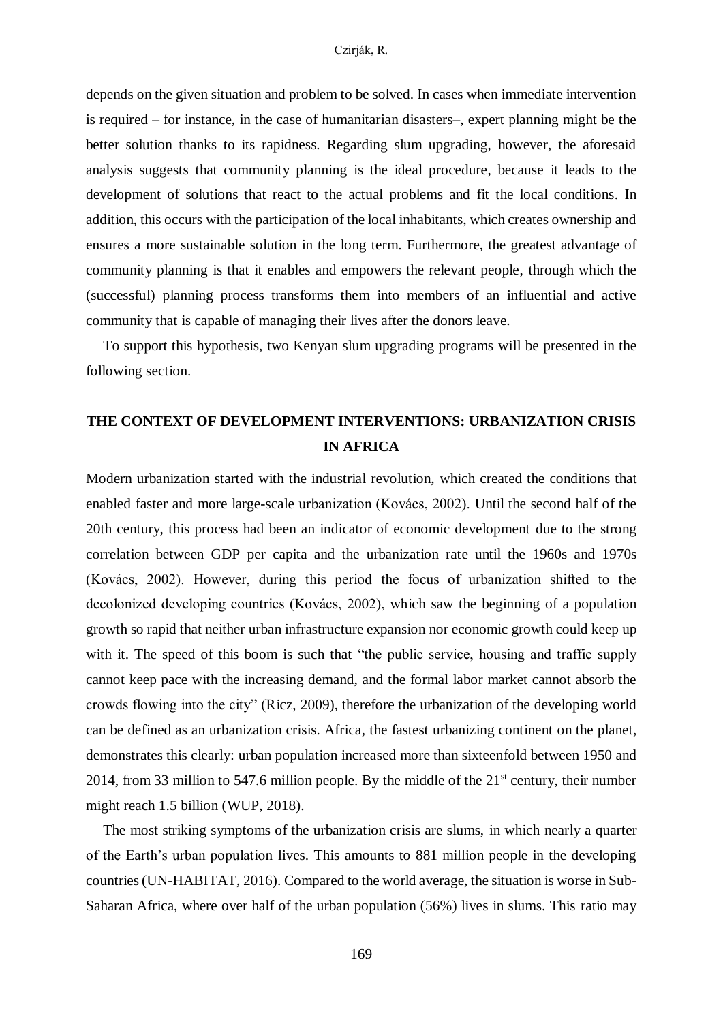depends on the given situation and problem to be solved. In cases when immediate intervention is required – for instance, in the case of humanitarian disasters–, expert planning might be the better solution thanks to its rapidness. Regarding slum upgrading, however, the aforesaid analysis suggests that community planning is the ideal procedure, because it leads to the development of solutions that react to the actual problems and fit the local conditions. In addition, this occurs with the participation of the local inhabitants, which creates ownership and ensures a more sustainable solution in the long term. Furthermore, the greatest advantage of community planning is that it enables and empowers the relevant people, through which the (successful) planning process transforms them into members of an influential and active community that is capable of managing their lives after the donors leave.

To support this hypothesis, two Kenyan slum upgrading programs will be presented in the following section.

## **THE CONTEXT OF DEVELOPMENT INTERVENTIONS: URBANIZATION CRISIS IN AFRICA**

Modern urbanization started with the industrial revolution, which created the conditions that enabled faster and more large-scale urbanization (Kovács, 2002). Until the second half of the 20th century, this process had been an indicator of economic development due to the strong correlation between GDP per capita and the urbanization rate until the 1960s and 1970s (Kovács, 2002). However, during this period the focus of urbanization shifted to the decolonized developing countries (Kovács, 2002), which saw the beginning of a population growth so rapid that neither urban infrastructure expansion nor economic growth could keep up with it. The speed of this boom is such that "the public service, housing and traffic supply cannot keep pace with the increasing demand, and the formal labor market cannot absorb the crowds flowing into the city" (Ricz, 2009), therefore the urbanization of the developing world can be defined as an urbanization crisis. Africa, the fastest urbanizing continent on the planet, demonstrates this clearly: urban population increased more than sixteenfold between 1950 and 2014, from 33 million to 547.6 million people. By the middle of the  $21<sup>st</sup>$  century, their number might reach 1.5 billion (WUP, 2018).

The most striking symptoms of the urbanization crisis are slums, in which nearly a quarter of the Earth's urban population lives. This amounts to 881 million people in the developing countries (UN-HABITAT, 2016). Compared to the world average, the situation is worse in Sub-Saharan Africa, where over half of the urban population (56%) lives in slums. This ratio may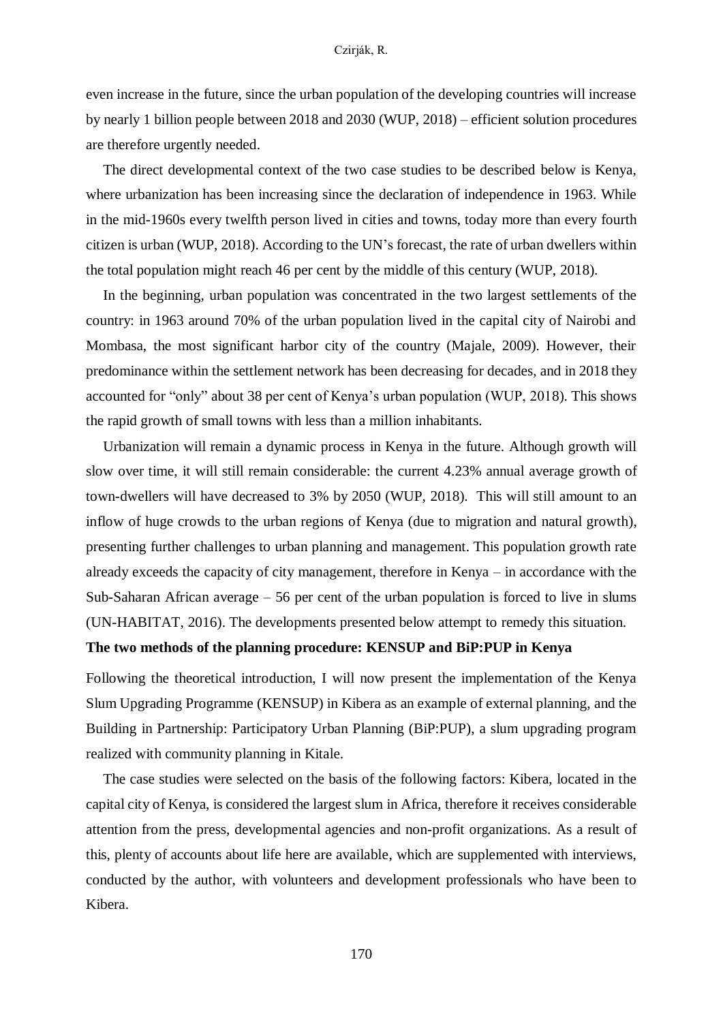even increase in the future, since the urban population of the developing countries will increase by nearly 1 billion people between 2018 and 2030 (WUP, 2018) – efficient solution procedures are therefore urgently needed.

The direct developmental context of the two case studies to be described below is Kenya, where urbanization has been increasing since the declaration of independence in 1963. While in the mid-1960s every twelfth person lived in cities and towns, today more than every fourth citizen is urban (WUP, 2018). According to the UN's forecast, the rate of urban dwellers within the total population might reach 46 per cent by the middle of this century (WUP, 2018).

In the beginning, urban population was concentrated in the two largest settlements of the country: in 1963 around 70% of the urban population lived in the capital city of Nairobi and Mombasa, the most significant harbor city of the country (Majale, 2009). However, their predominance within the settlement network has been decreasing for decades, and in 2018 they accounted for "only" about 38 per cent of Kenya's urban population (WUP, 2018). This shows the rapid growth of small towns with less than a million inhabitants.

Urbanization will remain a dynamic process in Kenya in the future. Although growth will slow over time, it will still remain considerable: the current 4.23% annual average growth of town-dwellers will have decreased to 3% by 2050 (WUP, 2018). This will still amount to an inflow of huge crowds to the urban regions of Kenya (due to migration and natural growth), presenting further challenges to urban planning and management. This population growth rate already exceeds the capacity of city management, therefore in Kenya – in accordance with the Sub-Saharan African average – 56 per cent of the urban population is forced to live in slums (UN-HABITAT, 2016). The developments presented below attempt to remedy this situation.

## **The two methods of the planning procedure: KENSUP and BiP:PUP in Kenya**

Following the theoretical introduction, I will now present the implementation of the Kenya Slum Upgrading Programme (KENSUP) in Kibera as an example of external planning, and the Building in Partnership: Participatory Urban Planning (BiP:PUP), a slum upgrading program realized with community planning in Kitale.

The case studies were selected on the basis of the following factors: Kibera, located in the capital city of Kenya, is considered the largest slum in Africa, therefore it receives considerable attention from the press, developmental agencies and non-profit organizations. As a result of this, plenty of accounts about life here are available, which are supplemented with interviews, conducted by the author, with volunteers and development professionals who have been to Kibera.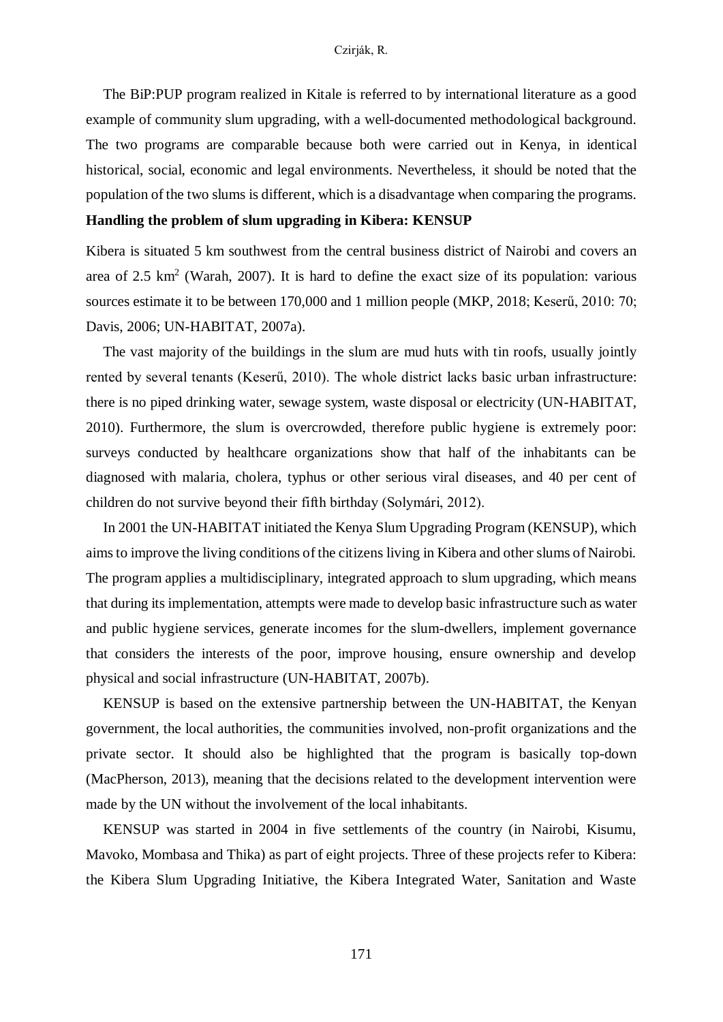The BiP:PUP program realized in Kitale is referred to by international literature as a good example of community slum upgrading, with a well-documented methodological background. The two programs are comparable because both were carried out in Kenya, in identical historical, social, economic and legal environments. Nevertheless, it should be noted that the population of the two slums is different, which is a disadvantage when comparing the programs.

## **Handling the problem of slum upgrading in Kibera: KENSUP**

Kibera is situated 5 km southwest from the central business district of Nairobi and covers an area of  $2.5 \text{ km}^2$  (Warah, 2007). It is hard to define the exact size of its population: various sources estimate it to be between 170,000 and 1 million people (MKP, 2018; Keserű, 2010: 70; Davis, 2006; UN-HABITAT, 2007a).

The vast majority of the buildings in the slum are mud huts with tin roofs, usually jointly rented by several tenants (Keserű, 2010). The whole district lacks basic urban infrastructure: there is no piped drinking water, sewage system, waste disposal or electricity (UN-HABITAT, 2010). Furthermore, the slum is overcrowded, therefore public hygiene is extremely poor: surveys conducted by healthcare organizations show that half of the inhabitants can be diagnosed with malaria, cholera, typhus or other serious viral diseases, and 40 per cent of children do not survive beyond their fifth birthday (Solymári, 2012).

In 2001 the UN-HABITAT initiated the Kenya Slum Upgrading Program (KENSUP), which aims to improve the living conditions of the citizens living in Kibera and other slums of Nairobi. The program applies a multidisciplinary, integrated approach to slum upgrading, which means that during its implementation, attempts were made to develop basic infrastructure such as water and public hygiene services, generate incomes for the slum-dwellers, implement governance that considers the interests of the poor, improve housing, ensure ownership and develop physical and social infrastructure (UN-HABITAT, 2007b).

KENSUP is based on the extensive partnership between the UN-HABITAT, the Kenyan government, the local authorities, the communities involved, non-profit organizations and the private sector. It should also be highlighted that the program is basically top-down (MacPherson, 2013), meaning that the decisions related to the development intervention were made by the UN without the involvement of the local inhabitants.

KENSUP was started in 2004 in five settlements of the country (in Nairobi, Kisumu, Mavoko, Mombasa and Thika) as part of eight projects. Three of these projects refer to Kibera: the Kibera Slum Upgrading Initiative, the Kibera Integrated Water, Sanitation and Waste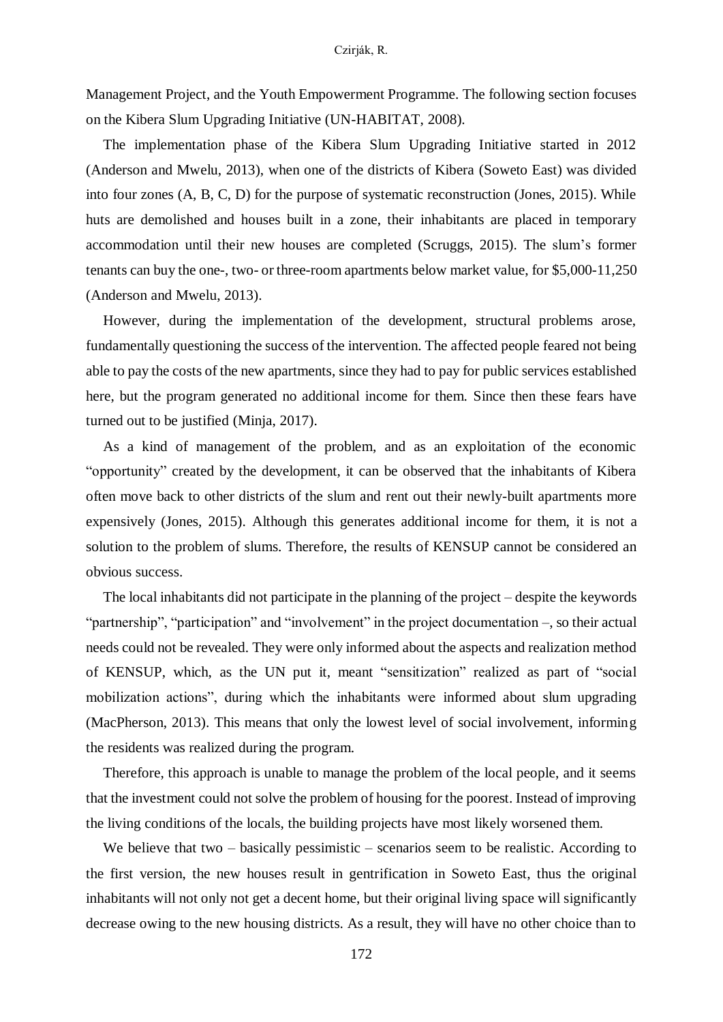Management Project, and the Youth Empowerment Programme. The following section focuses on the Kibera Slum Upgrading Initiative (UN-HABITAT, 2008).

The implementation phase of the Kibera Slum Upgrading Initiative started in 2012 (Anderson and Mwelu, 2013), when one of the districts of Kibera (Soweto East) was divided into four zones (A, B, C, D) for the purpose of systematic reconstruction (Jones, 2015). While huts are demolished and houses built in a zone, their inhabitants are placed in temporary accommodation until their new houses are completed (Scruggs, 2015). The slum's former tenants can buy the one-, two- or three-room apartments below market value, for \$5,000-11,250 (Anderson and Mwelu, 2013).

However, during the implementation of the development, structural problems arose, fundamentally questioning the success of the intervention. The affected people feared not being able to pay the costs of the new apartments, since they had to pay for public services established here, but the program generated no additional income for them. Since then these fears have turned out to be justified (Minja, 2017).

As a kind of management of the problem, and as an exploitation of the economic "opportunity" created by the development, it can be observed that the inhabitants of Kibera often move back to other districts of the slum and rent out their newly-built apartments more expensively (Jones, 2015). Although this generates additional income for them, it is not a solution to the problem of slums. Therefore, the results of KENSUP cannot be considered an obvious success.

The local inhabitants did not participate in the planning of the project – despite the keywords "partnership", "participation" and "involvement" in the project documentation –, so their actual needs could not be revealed. They were only informed about the aspects and realization method of KENSUP, which, as the UN put it, meant "sensitization" realized as part of "social mobilization actions", during which the inhabitants were informed about slum upgrading (MacPherson, 2013). This means that only the lowest level of social involvement, informing the residents was realized during the program.

Therefore, this approach is unable to manage the problem of the local people, and it seems that the investment could not solve the problem of housing for the poorest. Instead of improving the living conditions of the locals, the building projects have most likely worsened them.

We believe that two – basically pessimistic – scenarios seem to be realistic. According to the first version, the new houses result in gentrification in Soweto East, thus the original inhabitants will not only not get a decent home, but their original living space will significantly decrease owing to the new housing districts. As a result, they will have no other choice than to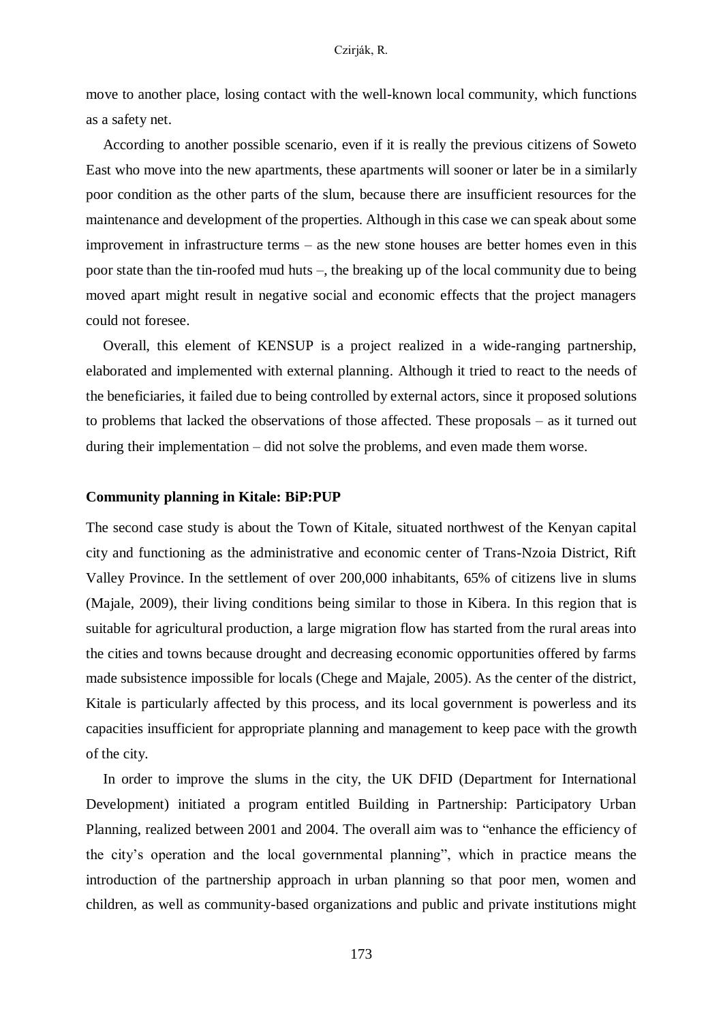move to another place, losing contact with the well-known local community, which functions as a safety net.

According to another possible scenario, even if it is really the previous citizens of Soweto East who move into the new apartments, these apartments will sooner or later be in a similarly poor condition as the other parts of the slum, because there are insufficient resources for the maintenance and development of the properties. Although in this case we can speak about some improvement in infrastructure terms – as the new stone houses are better homes even in this poor state than the tin-roofed mud huts –, the breaking up of the local community due to being moved apart might result in negative social and economic effects that the project managers could not foresee.

Overall, this element of KENSUP is a project realized in a wide-ranging partnership, elaborated and implemented with external planning. Although it tried to react to the needs of the beneficiaries, it failed due to being controlled by external actors, since it proposed solutions to problems that lacked the observations of those affected. These proposals – as it turned out during their implementation – did not solve the problems, and even made them worse.

## **Community planning in Kitale: BiP:PUP**

The second case study is about the Town of Kitale, situated northwest of the Kenyan capital city and functioning as the administrative and economic center of Trans-Nzoia District, Rift Valley Province. In the settlement of over 200,000 inhabitants, 65% of citizens live in slums (Majale, 2009), their living conditions being similar to those in Kibera. In this region that is suitable for agricultural production, a large migration flow has started from the rural areas into the cities and towns because drought and decreasing economic opportunities offered by farms made subsistence impossible for locals (Chege and Majale, 2005). As the center of the district, Kitale is particularly affected by this process, and its local government is powerless and its capacities insufficient for appropriate planning and management to keep pace with the growth of the city.

In order to improve the slums in the city, the UK DFID (Department for International Development) initiated a program entitled Building in Partnership: Participatory Urban Planning, realized between 2001 and 2004. The overall aim was to "enhance the efficiency of the city's operation and the local governmental planning", which in practice means the introduction of the partnership approach in urban planning so that poor men, women and children, as well as community-based organizations and public and private institutions might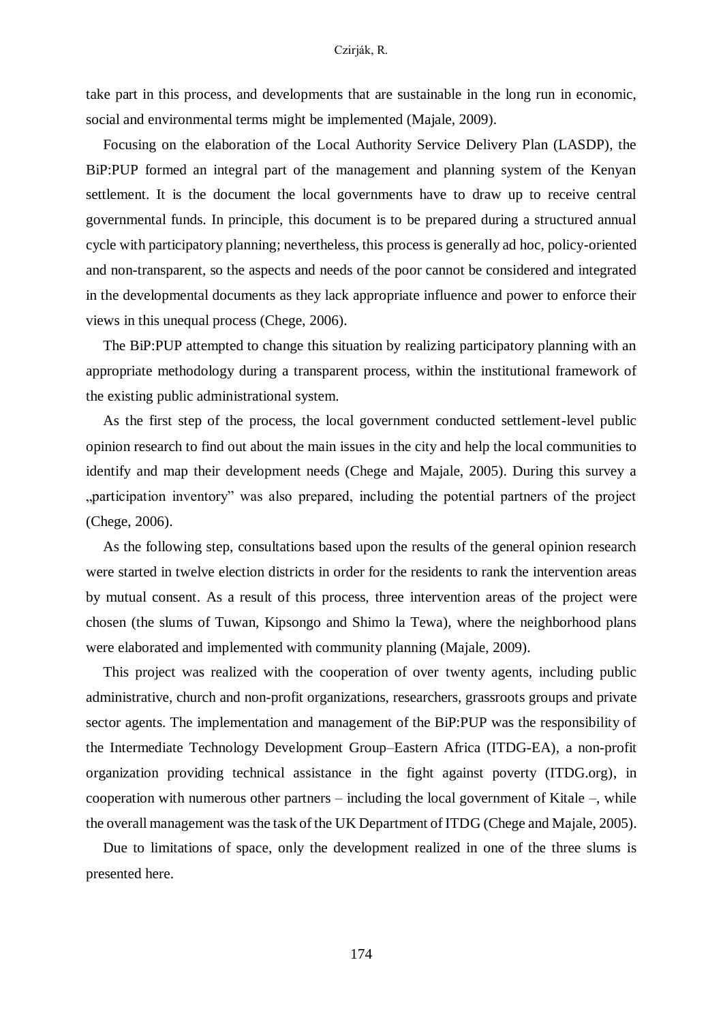take part in this process, and developments that are sustainable in the long run in economic, social and environmental terms might be implemented (Majale, 2009).

Focusing on the elaboration of the Local Authority Service Delivery Plan (LASDP), the BiP:PUP formed an integral part of the management and planning system of the Kenyan settlement. It is the document the local governments have to draw up to receive central governmental funds. In principle, this document is to be prepared during a structured annual cycle with participatory planning; nevertheless, this process is generally ad hoc, policy-oriented and non-transparent, so the aspects and needs of the poor cannot be considered and integrated in the developmental documents as they lack appropriate influence and power to enforce their views in this unequal process (Chege, 2006).

The BiP:PUP attempted to change this situation by realizing participatory planning with an appropriate methodology during a transparent process, within the institutional framework of the existing public administrational system.

As the first step of the process, the local government conducted settlement-level public opinion research to find out about the main issues in the city and help the local communities to identify and map their development needs (Chege and Majale, 2005). During this survey a "participation inventory" was also prepared, including the potential partners of the project (Chege, 2006).

As the following step, consultations based upon the results of the general opinion research were started in twelve election districts in order for the residents to rank the intervention areas by mutual consent. As a result of this process, three intervention areas of the project were chosen (the slums of Tuwan, Kipsongo and Shimo la Tewa), where the neighborhood plans were elaborated and implemented with community planning (Majale, 2009).

This project was realized with the cooperation of over twenty agents, including public administrative, church and non-profit organizations, researchers, grassroots groups and private sector agents. The implementation and management of the BiP:PUP was the responsibility of the Intermediate Technology Development Group–Eastern Africa (ITDG-EA), a non-profit organization providing technical assistance in the fight against poverty (ITDG.org), in cooperation with numerous other partners – including the local government of Kitale –, while the overall management was the task of the UK Department of ITDG (Chege and Majale, 2005).

Due to limitations of space, only the development realized in one of the three slums is presented here.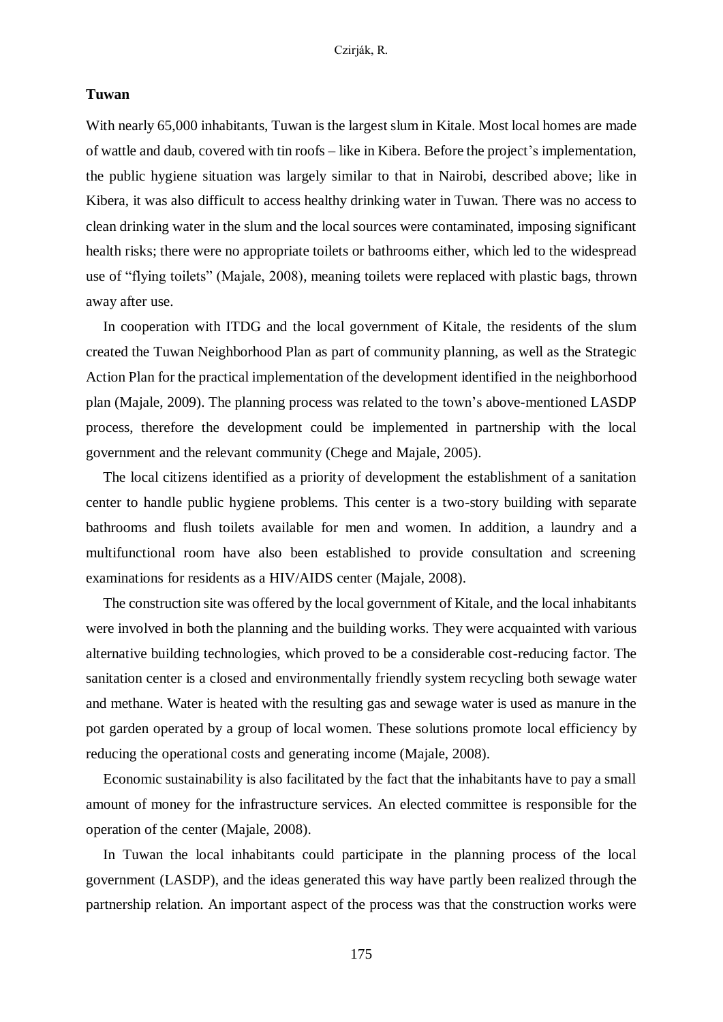## **Tuwan**

With nearly 65,000 inhabitants, Tuwan is the largest slum in Kitale. Most local homes are made of wattle and daub, covered with tin roofs – like in Kibera. Before the project's implementation, the public hygiene situation was largely similar to that in Nairobi, described above; like in Kibera, it was also difficult to access healthy drinking water in Tuwan. There was no access to clean drinking water in the slum and the local sources were contaminated, imposing significant health risks; there were no appropriate toilets or bathrooms either, which led to the widespread use of "flying toilets" (Majale, 2008), meaning toilets were replaced with plastic bags, thrown away after use.

In cooperation with ITDG and the local government of Kitale, the residents of the slum created the Tuwan Neighborhood Plan as part of community planning, as well as the Strategic Action Plan for the practical implementation of the development identified in the neighborhood plan (Majale, 2009). The planning process was related to the town's above-mentioned LASDP process, therefore the development could be implemented in partnership with the local government and the relevant community (Chege and Majale, 2005).

The local citizens identified as a priority of development the establishment of a sanitation center to handle public hygiene problems. This center is a two-story building with separate bathrooms and flush toilets available for men and women. In addition, a laundry and a multifunctional room have also been established to provide consultation and screening examinations for residents as a HIV/AIDS center (Majale, 2008).

The construction site was offered by the local government of Kitale, and the local inhabitants were involved in both the planning and the building works. They were acquainted with various alternative building technologies, which proved to be a considerable cost-reducing factor. The sanitation center is a closed and environmentally friendly system recycling both sewage water and methane. Water is heated with the resulting gas and sewage water is used as manure in the pot garden operated by a group of local women. These solutions promote local efficiency by reducing the operational costs and generating income (Majale, 2008).

Economic sustainability is also facilitated by the fact that the inhabitants have to pay a small amount of money for the infrastructure services. An elected committee is responsible for the operation of the center (Majale, 2008).

In Tuwan the local inhabitants could participate in the planning process of the local government (LASDP), and the ideas generated this way have partly been realized through the partnership relation. An important aspect of the process was that the construction works were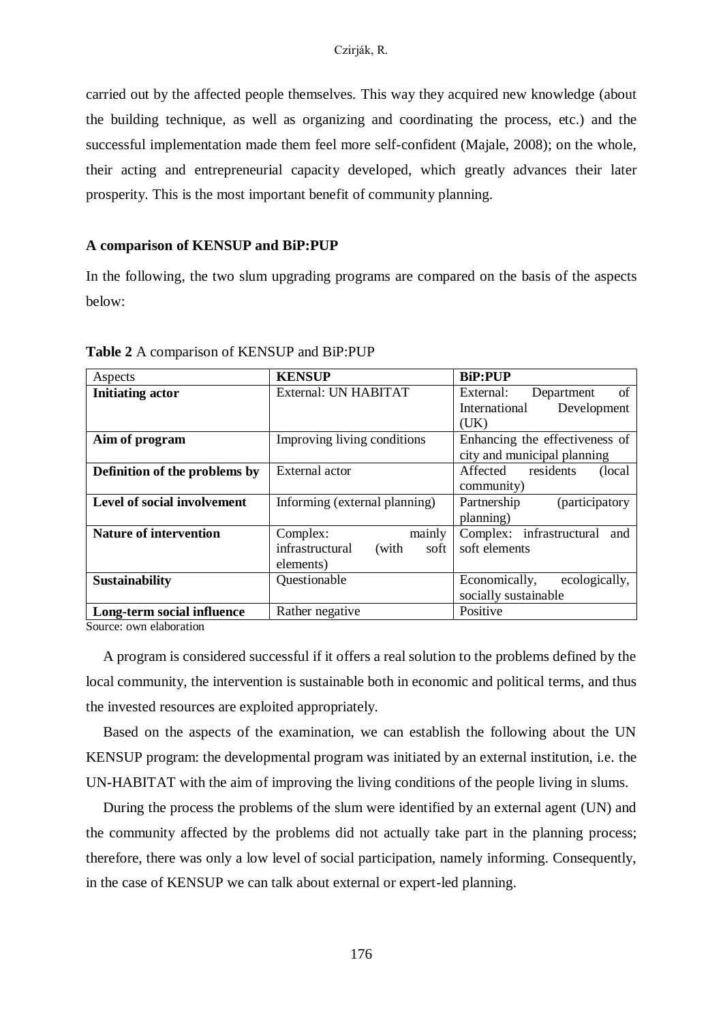carried out by the affected people themselves. This way they acquired new knowledge (about the building technique, as well as organizing and coordinating the process, etc.) and the successful implementation made them feel more self-confident (Majale, 2008); on the whole, their acting and entrepreneurial capacity developed, which greatly advances their later prosperity. This is the most important benefit of community planning.

## **A comparison of KENSUP and BiP:PUP**

In the following, the two slum upgrading programs are compared on the basis of the aspects below:

| Aspects                            | <b>KENSUP</b>                    | <b>BiP:PUP</b>                  |
|------------------------------------|----------------------------------|---------------------------------|
| <b>Initiating actor</b>            | External: UN HABITAT             | External:<br>Department<br>- of |
|                                    |                                  | Development<br>International    |
|                                    |                                  | (UK)                            |
| Aim of program                     | Improving living conditions      | Enhancing the effectiveness of  |
|                                    |                                  | city and municipal planning     |
| Definition of the problems by      | External actor                   | Affected residents<br>(local)   |
|                                    |                                  | community)                      |
| <b>Level of social involvement</b> | Informing (external planning)    | (participatory<br>Partnership   |
|                                    |                                  | planning)                       |
| <b>Nature of intervention</b>      | mainly<br>Complex:               | Complex: infrastructural<br>and |
|                                    | infrastructural<br>(with<br>soft | soft elements                   |
|                                    | elements)                        |                                 |
| Sustainability                     | Questionable                     | ecologically,<br>Economically,  |
|                                    |                                  | socially sustainable            |
| Long-term social influence         | Rather negative                  | Positive                        |

**Table 2** A comparison of KENSUP and BiP:PUP

Source: own elaboration

A program is considered successful if it offers a real solution to the problems defined by the local community, the intervention is sustainable both in economic and political terms, and thus the invested resources are exploited appropriately.

Based on the aspects of the examination, we can establish the following about the UN KENSUP program: the developmental program was initiated by an external institution, i.e. the UN-HABITAT with the aim of improving the living conditions of the people living in slums.

During the process the problems of the slum were identified by an external agent (UN) and the community affected by the problems did not actually take part in the planning process; therefore, there was only a low level of social participation, namely informing. Consequently, in the case of KENSUP we can talk about external or expert-led planning.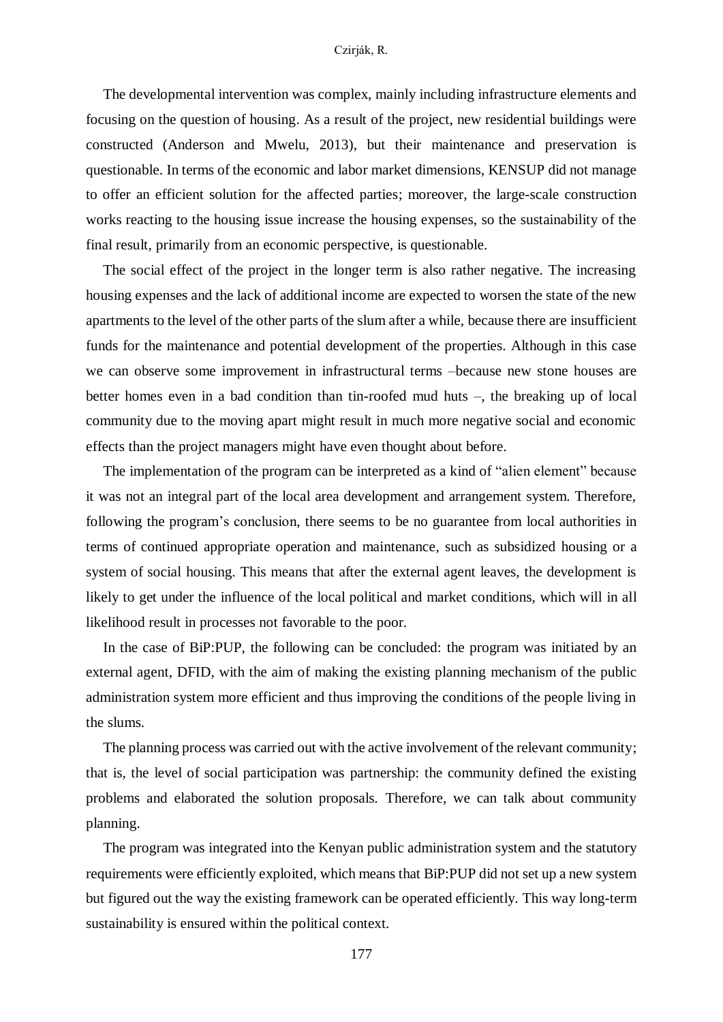### Czirják, R.

The developmental intervention was complex, mainly including infrastructure elements and focusing on the question of housing. As a result of the project, new residential buildings were constructed (Anderson and Mwelu, 2013), but their maintenance and preservation is questionable. In terms of the economic and labor market dimensions, KENSUP did not manage to offer an efficient solution for the affected parties; moreover, the large-scale construction works reacting to the housing issue increase the housing expenses, so the sustainability of the final result, primarily from an economic perspective, is questionable.

The social effect of the project in the longer term is also rather negative. The increasing housing expenses and the lack of additional income are expected to worsen the state of the new apartments to the level of the other parts of the slum after a while, because there are insufficient funds for the maintenance and potential development of the properties. Although in this case we can observe some improvement in infrastructural terms –because new stone houses are better homes even in a bad condition than tin-roofed mud huts –, the breaking up of local community due to the moving apart might result in much more negative social and economic effects than the project managers might have even thought about before.

The implementation of the program can be interpreted as a kind of "alien element" because it was not an integral part of the local area development and arrangement system. Therefore, following the program's conclusion, there seems to be no guarantee from local authorities in terms of continued appropriate operation and maintenance, such as subsidized housing or a system of social housing. This means that after the external agent leaves, the development is likely to get under the influence of the local political and market conditions, which will in all likelihood result in processes not favorable to the poor.

In the case of BiP:PUP, the following can be concluded: the program was initiated by an external agent, DFID, with the aim of making the existing planning mechanism of the public administration system more efficient and thus improving the conditions of the people living in the slums.

The planning process was carried out with the active involvement of the relevant community; that is, the level of social participation was partnership: the community defined the existing problems and elaborated the solution proposals. Therefore, we can talk about community planning.

The program was integrated into the Kenyan public administration system and the statutory requirements were efficiently exploited, which means that BiP:PUP did not set up a new system but figured out the way the existing framework can be operated efficiently. This way long-term sustainability is ensured within the political context.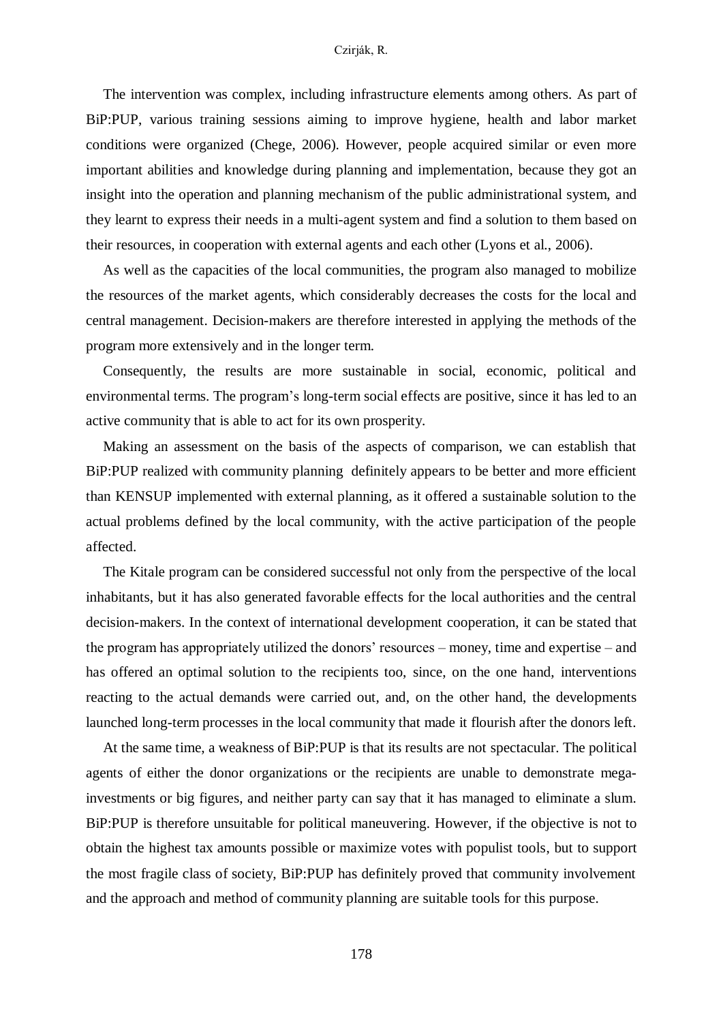The intervention was complex, including infrastructure elements among others. As part of BiP:PUP, various training sessions aiming to improve hygiene, health and labor market conditions were organized (Chege, 2006). However, people acquired similar or even more important abilities and knowledge during planning and implementation, because they got an insight into the operation and planning mechanism of the public administrational system, and they learnt to express their needs in a multi-agent system and find a solution to them based on their resources, in cooperation with external agents and each other (Lyons et al., 2006).

As well as the capacities of the local communities, the program also managed to mobilize the resources of the market agents, which considerably decreases the costs for the local and central management. Decision-makers are therefore interested in applying the methods of the program more extensively and in the longer term.

Consequently, the results are more sustainable in social, economic, political and environmental terms. The program's long-term social effects are positive, since it has led to an active community that is able to act for its own prosperity.

Making an assessment on the basis of the aspects of comparison, we can establish that BiP:PUP realized with community planning definitely appears to be better and more efficient than KENSUP implemented with external planning, as it offered a sustainable solution to the actual problems defined by the local community, with the active participation of the people affected.

The Kitale program can be considered successful not only from the perspective of the local inhabitants, but it has also generated favorable effects for the local authorities and the central decision-makers. In the context of international development cooperation, it can be stated that the program has appropriately utilized the donors' resources – money, time and expertise – and has offered an optimal solution to the recipients too, since, on the one hand, interventions reacting to the actual demands were carried out, and, on the other hand, the developments launched long-term processes in the local community that made it flourish after the donors left.

At the same time, a weakness of BiP:PUP is that its results are not spectacular. The political agents of either the donor organizations or the recipients are unable to demonstrate megainvestments or big figures, and neither party can say that it has managed to eliminate a slum. BiP:PUP is therefore unsuitable for political maneuvering. However, if the objective is not to obtain the highest tax amounts possible or maximize votes with populist tools, but to support the most fragile class of society, BiP:PUP has definitely proved that community involvement and the approach and method of community planning are suitable tools for this purpose.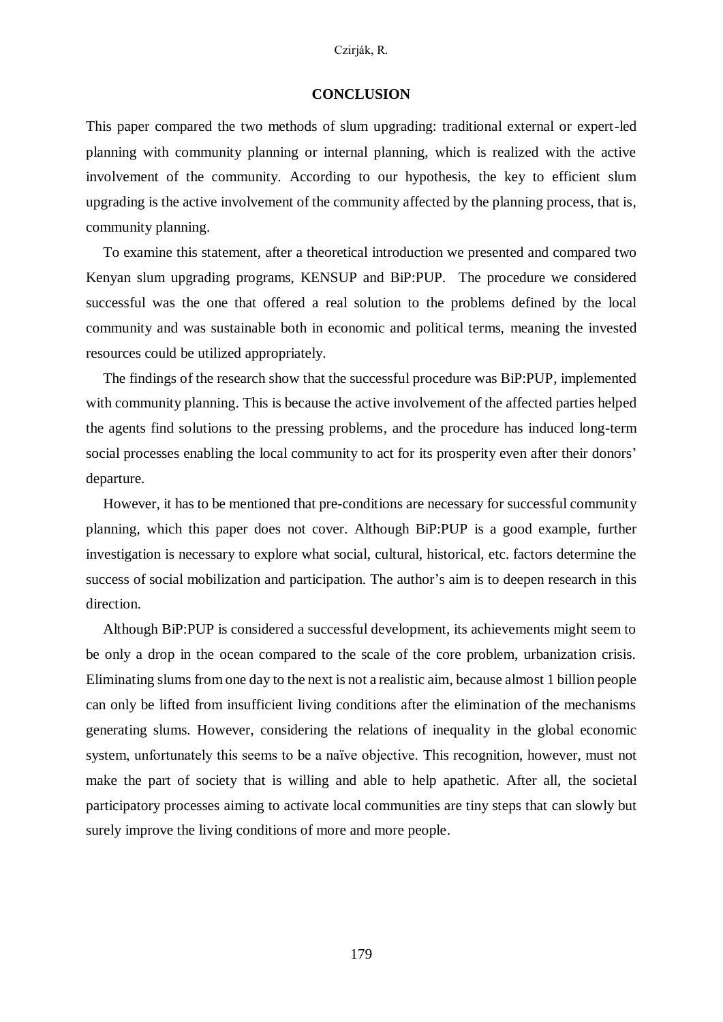### Czirják, R.

## **CONCLUSION**

This paper compared the two methods of slum upgrading: traditional external or expert-led planning with community planning or internal planning, which is realized with the active involvement of the community. According to our hypothesis, the key to efficient slum upgrading is the active involvement of the community affected by the planning process, that is, community planning.

To examine this statement, after a theoretical introduction we presented and compared two Kenyan slum upgrading programs, KENSUP and BiP:PUP. The procedure we considered successful was the one that offered a real solution to the problems defined by the local community and was sustainable both in economic and political terms, meaning the invested resources could be utilized appropriately.

The findings of the research show that the successful procedure was BiP:PUP, implemented with community planning. This is because the active involvement of the affected parties helped the agents find solutions to the pressing problems, and the procedure has induced long-term social processes enabling the local community to act for its prosperity even after their donors' departure.

However, it has to be mentioned that pre-conditions are necessary for successful community planning, which this paper does not cover. Although BiP:PUP is a good example, further investigation is necessary to explore what social, cultural, historical, etc. factors determine the success of social mobilization and participation. The author's aim is to deepen research in this direction.

Although BiP:PUP is considered a successful development, its achievements might seem to be only a drop in the ocean compared to the scale of the core problem, urbanization crisis. Eliminating slums from one day to the next is not a realistic aim, because almost 1 billion people can only be lifted from insufficient living conditions after the elimination of the mechanisms generating slums. However, considering the relations of inequality in the global economic system, unfortunately this seems to be a naïve objective. This recognition, however, must not make the part of society that is willing and able to help apathetic. After all, the societal participatory processes aiming to activate local communities are tiny steps that can slowly but surely improve the living conditions of more and more people.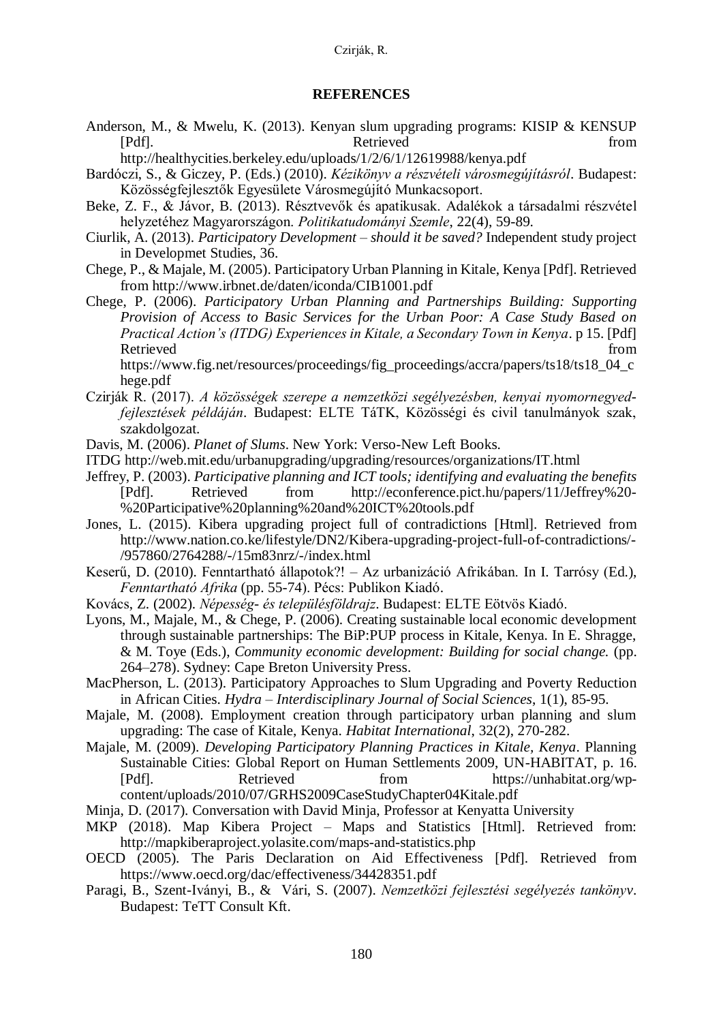## **REFERENCES**

- Anderson, M., & Mwelu, K. (2013). Kenyan slum upgrading programs: KISIP & KENSUP [Pdf]. **Retrieved** from
	- http://healthycities.berkeley.edu/uploads/1/2/6/1/12619988/kenya.pdf
- Bardóczi, S., & Giczey, P. (Eds.) (2010). *Kézikönyv a részvételi városmegújításról*. Budapest: Közösségfejlesztők Egyesülete Városmegújító Munkacsoport.
- Beke, Z. F., & Jávor, B. (2013). Résztvevők és apatikusak. Adalékok a társadalmi részvétel helyzetéhez Magyarországon. *Politikatudományi Szemle*, 22(4), 59-89.
- Ciurlik, A. (2013). *Participatory Development – should it be saved?* Independent study project in Developmet Studies, 36.
- Chege, P., & Majale, M. (2005). Participatory Urban Planning in Kitale, Kenya [Pdf]. Retrieved from http://www.irbnet.de/daten/iconda/CIB1001.pdf
- Chege, P. (2006). *Participatory Urban Planning and Partnerships Building: Supporting Provision of Access to Basic Services for the Urban Poor: A Case Study Based on Practical Action's (ITDG) Experiences in Kitale, a Secondary Town in Kenya*. p 15. [Pdf] Retrieved from the state of the state of the state of the state of the state of the state of the state of the state of the state of the state of the state of the state of the state of the state of the state of the state of

https://www.fig.net/resources/proceedings/fig\_proceedings/accra/papers/ts18/ts18\_04\_c hege.pdf

- Czirják R. (2017). *A közösségek szerepe a nemzetközi segélyezésben, kenyai nyomornegyedfejlesztések példáján*. Budapest: ELTE TáTK, Közösségi és civil tanulmányok szak, szakdolgozat.
- Davis, M. (2006). *Planet of Slums*. New York: Verso-New Left Books.
- ITDG http://web.mit.edu/urbanupgrading/upgrading/resources/organizations/IT.html
- Jeffrey, P. (2003). *Participative planning and ICT tools; identifying and evaluating the benefits* [Pdf]. Retrieved from http://econference.pict.hu/papers/11/Jeffrey%20- %20Participative%20planning%20and%20ICT%20tools.pdf
- Jones, L. (2015). Kibera upgrading project full of contradictions [Html]. Retrieved from http://www.nation.co.ke/lifestyle/DN2/Kibera-upgrading-project-full-of-contradictions/- /957860/2764288/-/15m83nrz/-/index.html
- Keserű, D. (2010). Fenntartható állapotok?! Az urbanizáció Afrikában. In I. Tarrósy (Ed.), *Fenntartható Afrika* (pp. 55-74). Pécs: Publikon Kiadó.
- Kovács, Z. (2002). *Népesség- és településföldrajz*. Budapest: ELTE Eötvös Kiadó.

Lyons, M., Majale, M., & Chege, P. (2006). Creating sustainable local economic development through sustainable partnerships: The BiP:PUP process in Kitale, Kenya. In E. Shragge, & M. Toye (Eds.), *Community economic development: Building for social change.* (pp. 264–278). Sydney: Cape Breton University Press.

- MacPherson, L. (2013). Participatory Approaches to Slum Upgrading and Poverty Reduction in African Cities. *Hydra – Interdisciplinary Journal of Social Sciences*, 1(1), 85-95.
- Majale, M. (2008). Employment creation through participatory urban planning and slum upgrading: The case of Kitale, Kenya. *Habitat International*, 32(2), 270-282.
- Majale, M. (2009). *Developing Participatory Planning Practices in Kitale, Kenya*. Planning Sustainable Cities: Global Report on Human Settlements 2009, UN-HABITAT, p. 16. [Pdf]. Retrieved from https://unhabitat.org/wpcontent/uploads/2010/07/GRHS2009CaseStudyChapter04Kitale.pdf
- Minja, D. (2017). Conversation with David Minja, Professor at Kenyatta University
- MKP (2018). Map Kibera Project Maps and Statistics [Html]. Retrieved from: http://mapkiberaproject.yolasite.com/maps-and-statistics.php
- OECD (2005). The Paris Declaration on Aid Effectiveness [Pdf]. Retrieved from https://www.oecd.org/dac/effectiveness/34428351.pdf
- Paragi, B., Szent-Iványi, B., & Vári, S. (2007). *Nemzetközi fejlesztési segélyezés tankönyv*. Budapest: TeTT Consult Kft.